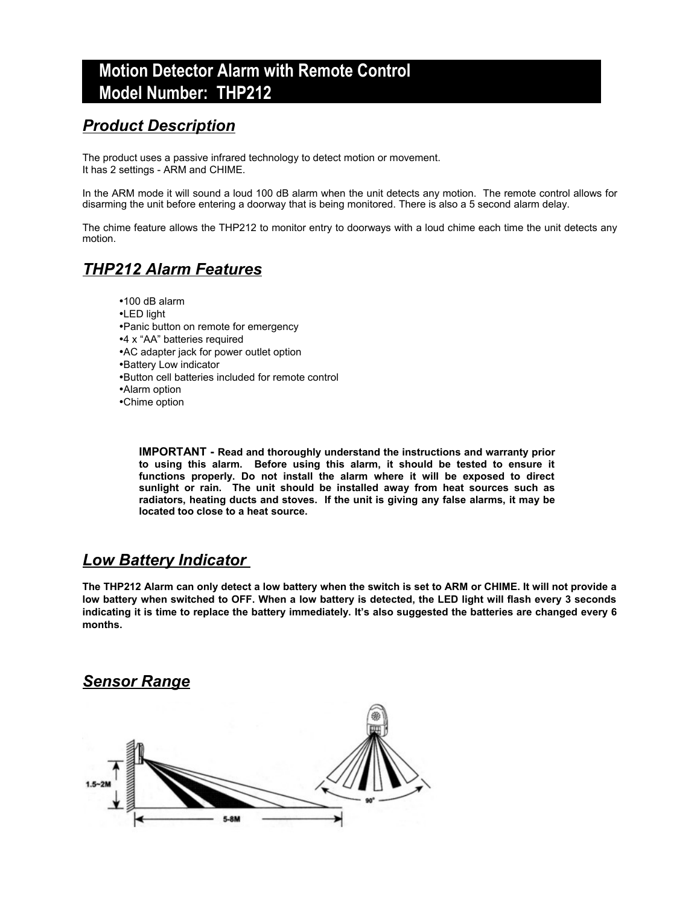# **Motion Detector Alarm with Remote Control Model Number: THP212**

### *Product Description*

The product uses a passive infrared technology to detect motion or movement. It has 2 settings - ARM and CHIME.

In the ARM mode it will sound a loud 100 dB alarm when the unit detects any motion. The remote control allows for disarming the unit before entering a doorway that is being monitored. There is also a 5 second alarm delay.

The chime feature allows the THP212 to monitor entry to doorways with a loud chime each time the unit detects any motion.

### *THP212 Alarm Features*

- •100 dB alarm
- •LED light
- •Panic button on remote for emergency
- •4 x "AA" batteries required
- •AC adapter jack for power outlet option
- •Battery Low indicator
- •Button cell batteries included for remote control
- •Alarm option
- •Chime option

**IMPORTANT - Read and thoroughly understand the instructions and warranty prior to using this alarm. Before using this alarm, it should be tested to ensure it functions properly. Do not install the alarm where it will be exposed to direct sunlight or rain. The unit should be installed away from heat sources such as radiators, heating ducts and stoves. If the unit is giving any false alarms, it may be located too close to a heat source.** 

### *Low Battery Indicator*

**The THP212 Alarm can only detect a low battery when the switch is set to ARM or CHIME. It will not provide a low battery when switched to OFF. When a low battery is detected, the LED light will flash every 3 seconds indicating it is time to replace the battery immediately. It's also suggested the batteries are changed every 6 months.**

### *Sensor Range*

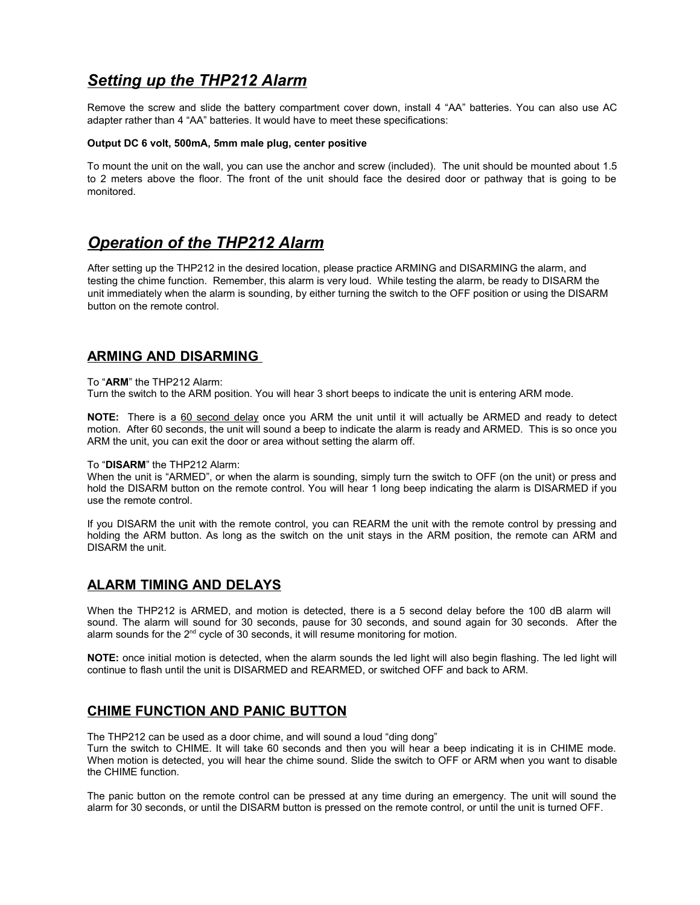## *Setting up the THP212 Alarm*

Remove the screw and slide the battery compartment cover down, install 4 "AA" batteries. You can also use AC adapter rather than 4 "AA" batteries. It would have to meet these specifications:

#### **Output DC 6 volt, 500mA, 5mm male plug, center positive**

To mount the unit on the wall, you can use the anchor and screw (included). The unit should be mounted about 1.5 to 2 meters above the floor. The front of the unit should face the desired door or pathway that is going to be monitored.

### *Operation of the THP212 Alarm*

After setting up the THP212 in the desired location, please practice ARMING and DISARMING the alarm, and testing the chime function. Remember, this alarm is very loud. While testing the alarm, be ready to DISARM the unit immediately when the alarm is sounding, by either turning the switch to the OFF position or using the DISARM button on the remote control.

### **ARMING AND DISARMING**

#### To "**ARM**" the THP212 Alarm:

Turn the switch to the ARM position. You will hear 3 short beeps to indicate the unit is entering ARM mode.

**NOTE:** There is a 60 second delay once you ARM the unit until it will actually be ARMED and ready to detect motion. After 60 seconds, the unit will sound a beep to indicate the alarm is ready and ARMED. This is so once you ARM the unit, you can exit the door or area without setting the alarm off.

#### To "**DISARM**" the THP212 Alarm:

When the unit is "ARMED", or when the alarm is sounding, simply turn the switch to OFF (on the unit) or press and hold the DISARM button on the remote control. You will hear 1 long beep indicating the alarm is DISARMED if you use the remote control.

If you DISARM the unit with the remote control, you can REARM the unit with the remote control by pressing and holding the ARM button. As long as the switch on the unit stays in the ARM position, the remote can ARM and DISARM the unit.

### **ALARM TIMING AND DELAYS**

When the THP212 is ARMED, and motion is detected, there is a 5 second delay before the 100 dB alarm will sound. The alarm will sound for 30 seconds, pause for 30 seconds, and sound again for 30 seconds. After the alarm sounds for the 2<sup>nd</sup> cycle of 30 seconds, it will resume monitoring for motion.

**NOTE:** once initial motion is detected, when the alarm sounds the led light will also begin flashing. The led light will continue to flash until the unit is DISARMED and REARMED, or switched OFF and back to ARM.

### **CHIME FUNCTION AND PANIC BUTTON**

The THP212 can be used as a door chime, and will sound a loud "ding dong"

Turn the switch to CHIME. It will take 60 seconds and then you will hear a beep indicating it is in CHIME mode. When motion is detected, you will hear the chime sound. Slide the switch to OFF or ARM when you want to disable the CHIME function.

The panic button on the remote control can be pressed at any time during an emergency. The unit will sound the alarm for 30 seconds, or until the DISARM button is pressed on the remote control, or until the unit is turned OFF.